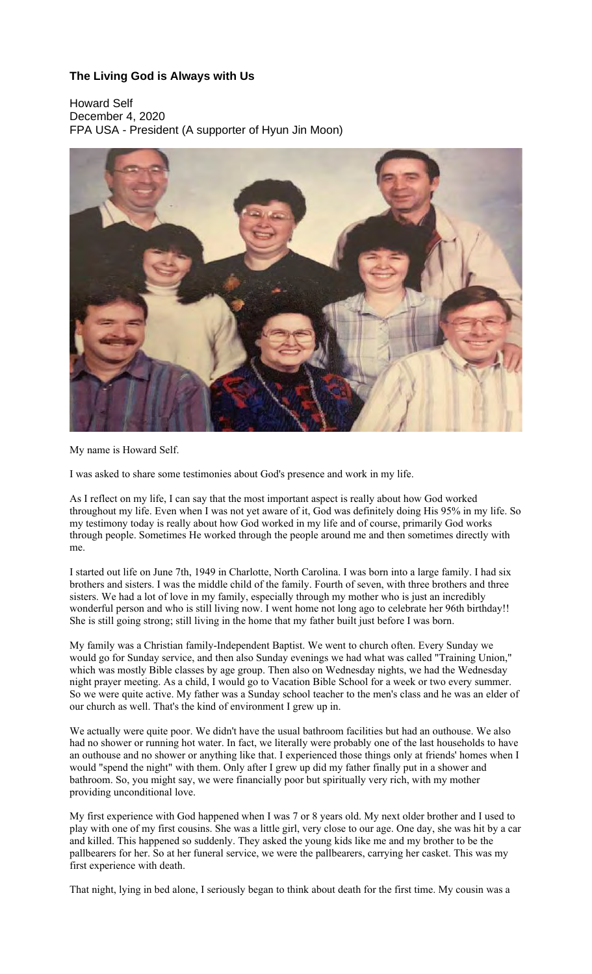## **The Living God is Always with Us**

Howard Self December 4, 2020 FPA USA - President (A supporter of Hyun Jin Moon)



## My name is Howard Self.

I was asked to share some testimonies about God's presence and work in my life.

As I reflect on my life, I can say that the most important aspect is really about how God worked throughout my life. Even when I was not yet aware of it, God was definitely doing His 95% in my life. So my testimony today is really about how God worked in my life and of course, primarily God works through people. Sometimes He worked through the people around me and then sometimes directly with me.

I started out life on June 7th, 1949 in Charlotte, North Carolina. I was born into a large family. I had six brothers and sisters. I was the middle child of the family. Fourth of seven, with three brothers and three sisters. We had a lot of love in my family, especially through my mother who is just an incredibly wonderful person and who is still living now. I went home not long ago to celebrate her 96th birthday!! She is still going strong; still living in the home that my father built just before I was born.

My family was a Christian family-Independent Baptist. We went to church often. Every Sunday we would go for Sunday service, and then also Sunday evenings we had what was called "Training Union," which was mostly Bible classes by age group. Then also on Wednesday nights, we had the Wednesday night prayer meeting. As a child, I would go to Vacation Bible School for a week or two every summer. So we were quite active. My father was a Sunday school teacher to the men's class and he was an elder of our church as well. That's the kind of environment I grew up in.

We actually were quite poor. We didn't have the usual bathroom facilities but had an outhouse. We also had no shower or running hot water. In fact, we literally were probably one of the last households to have an outhouse and no shower or anything like that. I experienced those things only at friends' homes when I would "spend the night" with them. Only after I grew up did my father finally put in a shower and bathroom. So, you might say, we were financially poor but spiritually very rich, with my mother providing unconditional love.

My first experience with God happened when I was 7 or 8 years old. My next older brother and I used to play with one of my first cousins. She was a little girl, very close to our age. One day, she was hit by a car and killed. This happened so suddenly. They asked the young kids like me and my brother to be the pallbearers for her. So at her funeral service, we were the pallbearers, carrying her casket. This was my first experience with death.

That night, lying in bed alone, I seriously began to think about death for the first time. My cousin was a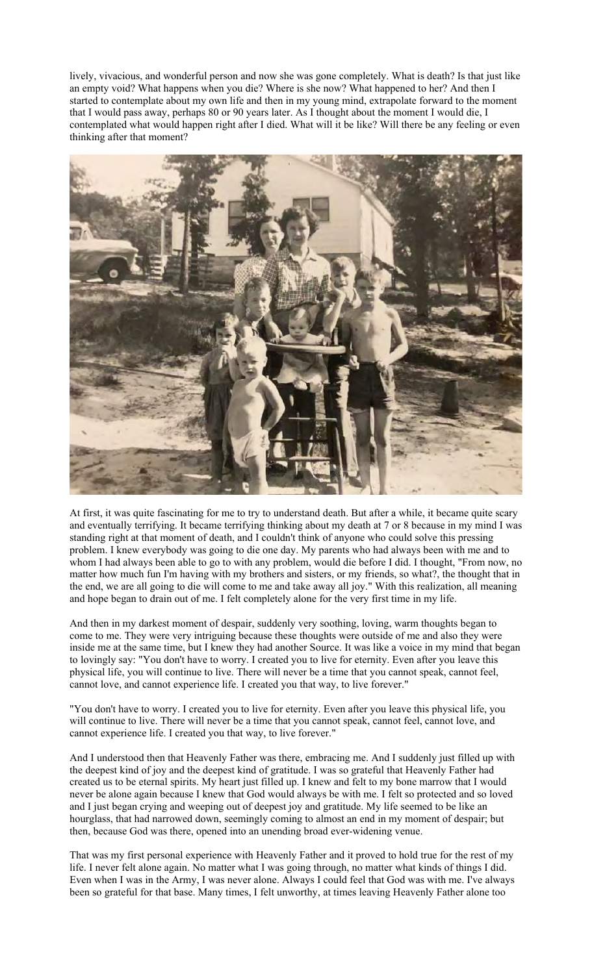lively, vivacious, and wonderful person and now she was gone completely. What is death? Is that just like an empty void? What happens when you die? Where is she now? What happened to her? And then I started to contemplate about my own life and then in my young mind, extrapolate forward to the moment that I would pass away, perhaps 80 or 90 years later. As I thought about the moment I would die, I contemplated what would happen right after I died. What will it be like? Will there be any feeling or even thinking after that moment?



At first, it was quite fascinating for me to try to understand death. But after a while, it became quite scary and eventually terrifying. It became terrifying thinking about my death at 7 or 8 because in my mind I was standing right at that moment of death, and I couldn't think of anyone who could solve this pressing problem. I knew everybody was going to die one day. My parents who had always been with me and to whom I had always been able to go to with any problem, would die before I did. I thought, "From now, no matter how much fun I'm having with my brothers and sisters, or my friends, so what?, the thought that in the end, we are all going to die will come to me and take away all joy." With this realization, all meaning and hope began to drain out of me. I felt completely alone for the very first time in my life.

And then in my darkest moment of despair, suddenly very soothing, loving, warm thoughts began to come to me. They were very intriguing because these thoughts were outside of me and also they were inside me at the same time, but I knew they had another Source. It was like a voice in my mind that began to lovingly say: "You don't have to worry. I created you to live for eternity. Even after you leave this physical life, you will continue to live. There will never be a time that you cannot speak, cannot feel, cannot love, and cannot experience life. I created you that way, to live forever."

"You don't have to worry. I created you to live for eternity. Even after you leave this physical life, you will continue to live. There will never be a time that you cannot speak, cannot feel, cannot love, and cannot experience life. I created you that way, to live forever."

And I understood then that Heavenly Father was there, embracing me. And I suddenly just filled up with the deepest kind of joy and the deepest kind of gratitude. I was so grateful that Heavenly Father had created us to be eternal spirits. My heart just filled up. I knew and felt to my bone marrow that I would never be alone again because I knew that God would always be with me. I felt so protected and so loved and I just began crying and weeping out of deepest joy and gratitude. My life seemed to be like an hourglass, that had narrowed down, seemingly coming to almost an end in my moment of despair; but then, because God was there, opened into an unending broad ever-widening venue.

That was my first personal experience with Heavenly Father and it proved to hold true for the rest of my life. I never felt alone again. No matter what I was going through, no matter what kinds of things I did. Even when I was in the Army, I was never alone. Always I could feel that God was with me. I've always been so grateful for that base. Many times, I felt unworthy, at times leaving Heavenly Father alone too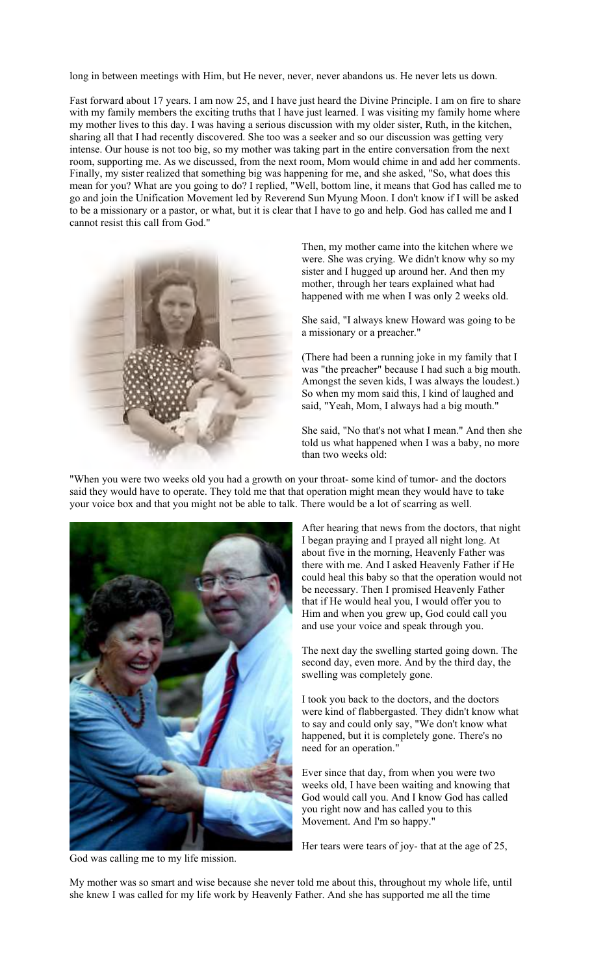long in between meetings with Him, but He never, never, never abandons us. He never lets us down.

Fast forward about 17 years. I am now 25, and I have just heard the Divine Principle. I am on fire to share with my family members the exciting truths that I have just learned. I was visiting my family home where my mother lives to this day. I was having a serious discussion with my older sister, Ruth, in the kitchen, sharing all that I had recently discovered. She too was a seeker and so our discussion was getting very intense. Our house is not too big, so my mother was taking part in the entire conversation from the next room, supporting me. As we discussed, from the next room, Mom would chime in and add her comments. Finally, my sister realized that something big was happening for me, and she asked, "So, what does this mean for you? What are you going to do? I replied, "Well, bottom line, it means that God has called me to go and join the Unification Movement led by Reverend Sun Myung Moon. I don't know if I will be asked to be a missionary or a pastor, or what, but it is clear that I have to go and help. God has called me and I cannot resist this call from God."



Then, my mother came into the kitchen where we were. She was crying. We didn't know why so my sister and I hugged up around her. And then my mother, through her tears explained what had happened with me when I was only 2 weeks old.

She said, "I always knew Howard was going to be a missionary or a preacher."

(There had been a running joke in my family that I was "the preacher" because I had such a big mouth. Amongst the seven kids, I was always the loudest.) So when my mom said this, I kind of laughed and said, "Yeah, Mom, I always had a big mouth."

She said, "No that's not what I mean." And then she told us what happened when I was a baby, no more than two weeks old:

"When you were two weeks old you had a growth on your throat- some kind of tumor- and the doctors said they would have to operate. They told me that that operation might mean they would have to take your voice box and that you might not be able to talk. There would be a lot of scarring as well.



After hearing that news from the doctors, that night I began praying and I prayed all night long. At about five in the morning, Heavenly Father was there with me. And I asked Heavenly Father if He could heal this baby so that the operation would not be necessary. Then I promised Heavenly Father that if He would heal you, I would offer you to Him and when you grew up, God could call you and use your voice and speak through you.

The next day the swelling started going down. The second day, even more. And by the third day, the swelling was completely gone.

I took you back to the doctors, and the doctors were kind of flabbergasted. They didn't know what to say and could only say, "We don't know what happened, but it is completely gone. There's no need for an operation."

Ever since that day, from when you were two weeks old, I have been waiting and knowing that God would call you. And I know God has called you right now and has called you to this Movement. And I'm so happy."

Her tears were tears of joy- that at the age of 25,

God was calling me to my life mission.

My mother was so smart and wise because she never told me about this, throughout my whole life, until she knew I was called for my life work by Heavenly Father. And she has supported me all the time